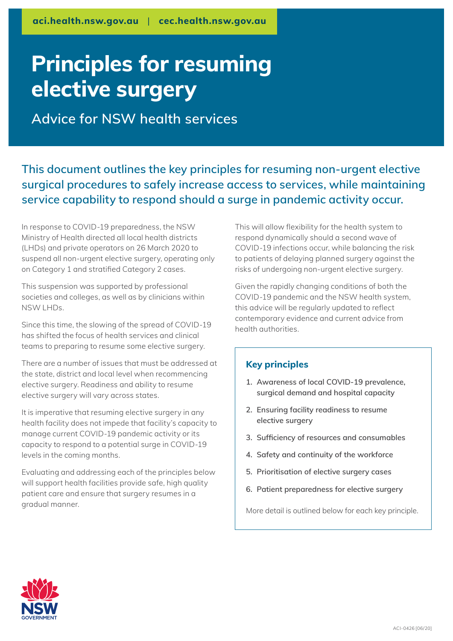# **Principles for resuming elective surgery**

**Advice for NSW health services**

**This document outlines the key principles for resuming non-urgent elective surgical procedures to safely increase access to services, while maintaining service capability to respond should a surge in pandemic activity occur.**

In response to COVID-19 preparedness, the NSW Ministry of Health directed all local health districts (LHDs) and private operators on 26 March 2020 to suspend all non-urgent elective surgery, operating only on Category 1 and stratified Category 2 cases.

This suspension was supported by professional societies and colleges, as well as by clinicians within NSW LHDs.

Since this time, the slowing of the spread of COVID-19 has shifted the focus of health services and clinical teams to preparing to resume some elective surgery.

There are a number of issues that must be addressed at the state, district and local level when recommencing elective surgery. Readiness and ability to resume elective surgery will vary across states.

It is imperative that resuming elective surgery in any health facility does not impede that facility's capacity to manage current COVID-19 pandemic activity or its capacity to respond to a potential surge in COVID-19 levels in the coming months.

Evaluating and addressing each of the principles below will support health facilities provide safe, high quality patient care and ensure that surgery resumes in a gradual manner.

This will allow flexibility for the health system to respond dynamically should a second wave of COVID-19 infections occur, while balancing the risk to patients of delaying planned surgery against the risks of undergoing non-urgent elective surgery.

Given the rapidly changing conditions of both the COVID-19 pandemic and the NSW health system, this advice will be regularly updated to reflect contemporary evidence and current advice from health authorities.

# **Key principles**

- **1. Awareness of local COVID-19 prevalence, surgical demand and hospital capacity**
- **2. Ensuring facility readiness to resume elective surgery**
- **3. Sufficiency of resources and consumables**
- **4. Safety and continuity of the workforce**
- **5. Prioritisation of elective surgery cases**
- **6. Patient preparedness for elective surgery**

More detail is outlined below for each key principle.

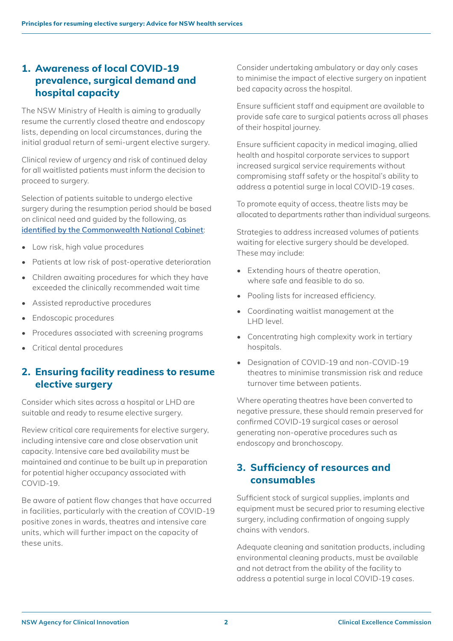# **1. Awareness of local COVID-19 prevalence, surgical demand and hospital capacity**

The NSW Ministry of Health is aiming to gradually resume the currently closed theatre and endoscopy lists, depending on local circumstances, during the initial gradual return of semi-urgent elective surgery.

Clinical review of urgency and risk of continued delay for all waitlisted patients must inform the decision to proceed to surgery.

Selection of patients suitable to undergo elective surgery during the resumption period should be based on clinical need and guided by the following, as **[identified by the Commonwealth National Cabinet](https://www.pm.gov.au/media/update-coronavirus-measures-210420)**:

- Low risk, high value procedures
- Patients at low risk of post-operative deterioration
- Children awaiting procedures for which they have exceeded the clinically recommended wait time
- Assisted reproductive procedures
- Endoscopic procedures
- Procedures associated with screening programs
- Critical dental procedures

# **2. Ensuring facility readiness to resume elective surgery**

Consider which sites across a hospital or LHD are suitable and ready to resume elective surgery.

Review critical care requirements for elective surgery, including intensive care and close observation unit capacity. Intensive care bed availability must be maintained and continue to be built up in preparation for potential higher occupancy associated with COVID-19.

Be aware of patient flow changes that have occurred in facilities, particularly with the creation of COVID-19 positive zones in wards, theatres and intensive care units, which will further impact on the capacity of these units.

Consider undertaking ambulatory or day only cases to minimise the impact of elective surgery on inpatient bed capacity across the hospital.

Ensure sufficient staff and equipment are available to provide safe care to surgical patients across all phases of their hospital journey.

Ensure sufficient capacity in medical imaging, allied health and hospital corporate services to support increased surgical service requirements without compromising staff safety or the hospital's ability to address a potential surge in local COVID-19 cases.

To promote equity of access, theatre lists may be allocated to departments rather than individual surgeons.

Strategies to address increased volumes of patients waiting for elective surgery should be developed. These may include:

- Extending hours of theatre operation, where safe and feasible to do so.
- Pooling lists for increased efficiency.
- Coordinating waitlist management at the LHD level.
- Concentrating high complexity work in tertiary hospitals.
- Designation of COVID-19 and non-COVID-19 theatres to minimise transmission risk and reduce turnover time between patients.

Where operating theatres have been converted to negative pressure, these should remain preserved for confirmed COVID-19 surgical cases or aerosol generating non-operative procedures such as endoscopy and bronchoscopy.

# **3. Sufficiency of resources and consumables**

Sufficient stock of surgical supplies, implants and equipment must be secured prior to resuming elective surgery, including confirmation of ongoing supply chains with vendors.

Adequate cleaning and sanitation products, including environmental cleaning products, must be available and not detract from the ability of the facility to address a potential surge in local COVID-19 cases.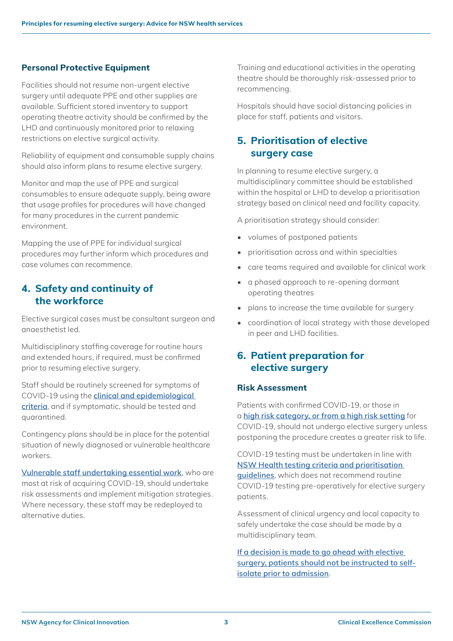# **Personal Protective Equipment**

Facilities should not resume non-urgent elective surgery until adequate PPE and other supplies are available. Sufficient stored inventory to support operating theatre activity should be confirmed by the LHD and continuously monitored prior to relaxing restrictions on elective surgical activity.

Reliability of equipment and consumable supply chains should also inform plans to resume elective surgery.

Monitor and map the use of PPE and surgical consumables to ensure adequate supply, being aware that usage profiles for procedures will have changed for many procedures in the current pandemic environment.

Mapping the use of PPE for individual surgical procedures may further inform which procedures and case volumes can recommence.

# **4. Safety and continuity of the workforce**

Elective surgical cases must be consultant surgeon and anaesthetist led.

Multidisciplinary staffing coverage for routine hours and extended hours, if required, must be confirmed prior to resuming elective surgery.

Staff should be routinely screened for symptoms of COVID-19 using the **[clinical and epidemiological](https://www1.health.gov.au/internet/main/publishing.nsf/Content/cdna-song-novel-coronavirus.htm)  [criteria](https://www1.health.gov.au/internet/main/publishing.nsf/Content/cdna-song-novel-coronavirus.htm)**, and if symptomatic, should be tested and quarantined.

Contingency plans should be in place for the potential situation of newly diagnosed or vulnerable healthcare workers.

**[Vulnerable staff undertaking essential work](https://www.health.nsw.gov.au/Infectious/covid-19/Pages/healthcare.aspx)**, who are most at risk of acquiring COVID-19, should undertake risk assessments and implement mitigation strategies. Where necessary, these staff may be redeployed to alternative duties.

Training and educational activities in the operating theatre should be thoroughly risk-assessed prior to recommencing.

Hospitals should have social distancing policies in place for staff, patients and visitors.

# **5. Prioritisation of elective surgery case**

In planning to resume elective surgery, a multidisciplinary committee should be established within the hospital or LHD to develop a prioritisation strategy based on clinical need and facility capacity.

A prioritisation strategy should consider:

- volumes of postponed patients
- prioritisation across and within specialties
- care teams required and available for clinical work
- a phased approach to re-opening dormant operating theatres
- plans to increase the time available for surgery
- coordination of local strategy with those developed in peer and LHD facilities.

# **6. Patient preparation for elective surgery**

### **Risk Assessment**

Patients with confirmed COVID-19, or those in a **[high risk category, or from a high risk setting](https://www.health.nsw.gov.au/Infectious/covid-19/Pages/testing-prioritisation.aspx)** for COVID-19, should not undergo elective surgery unless postponing the procedure creates a greater risk to life.

COVID-19 testing must be undertaken in line with **[NSW Health testing criteria and prioritisation](https://www.health.nsw.gov.au/Infectious/covid-19/Pages/case-definition.aspx)  [guidelines](https://www.health.nsw.gov.au/Infectious/covid-19/Pages/case-definition.aspx)**, which does not recommend routine COVID-19 testing pre-operatively for elective surgery patients.

Assessment of clinical urgency and local capacity to safely undertake the case should be made by a multidisciplinary team.

**[If a decision is made to go ahead with elective](https://www.safetyandquality.gov.au/sites/default/files/2020-04/covid19_elective_surgery_and_infection_prevention_and_control_precautions_april_2020.pdf)  [surgery, patients should not be instructed to self](https://www.safetyandquality.gov.au/sites/default/files/2020-04/covid19_elective_surgery_and_infection_prevention_and_control_precautions_april_2020.pdf)[isolate prior to admission](https://www.safetyandquality.gov.au/sites/default/files/2020-04/covid19_elective_surgery_and_infection_prevention_and_control_precautions_april_2020.pdf)**.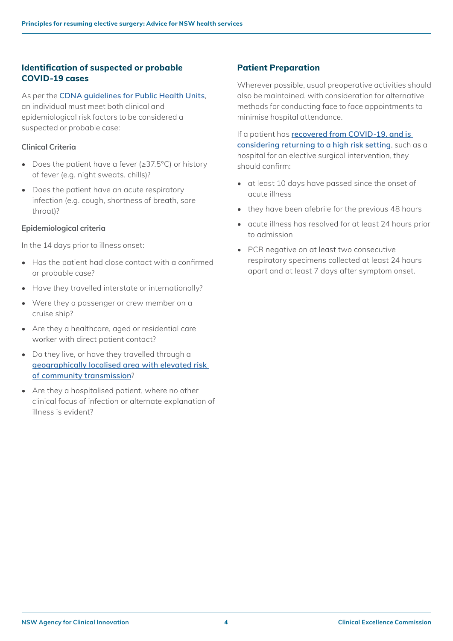# **Identification of suspected or probable COVID-19 cases**

As per the **[CDNA guidelines for Public Health Units](https://www1.health.gov.au/internet/main/publishing.nsf/Content/cdna-song-novel-coronavirus.htm)**, an individual must meet both clinical and epidemiological risk factors to be considered a suspected or probable case:

### **Clinical Criteria**

- Does the patient have a fever (≥37.5°C) or history of fever (e.g. night sweats, chills)?
- Does the patient have an acute respiratory infection (e.g. cough, shortness of breath, sore throat)?

### **Epidemiological criteria**

In the 14 days prior to illness onset:

- Has the patient had close contact with a confirmed or probable case?
- Have they travelled interstate or internationally?
- Were they a passenger or crew member on a cruise ship?
- Are they a healthcare, aged or residential care worker with direct patient contact?
- Do they live, or have they travelled through a **[geographically localised area with elevated risk](https://www.health.nsw.gov.au/Infectious/covid-19/Pages/stats-nsw.aspx#increased)  [of community transmission](https://www.health.nsw.gov.au/Infectious/covid-19/Pages/stats-nsw.aspx#increased)**?
- Are they a hospitalised patient, where no other clinical focus of infection or alternate explanation of illness is evident?

# **Patient Preparation**

Wherever possible, usual preoperative activities should also be maintained, with consideration for alternative methods for conducting face to face appointments to minimise hospital attendance.

If a patient has **[recovered from COVID-19, and is](https://www1.health.gov.au/internet/main/publishing.nsf/Content/7A8654A8CB144F5FCA2584F8001F91E2/$File/interim-COVID-19-SoNG-v2.7.pdf)  [considering returning to a high risk setting](https://www1.health.gov.au/internet/main/publishing.nsf/Content/7A8654A8CB144F5FCA2584F8001F91E2/$File/interim-COVID-19-SoNG-v2.7.pdf)**, such as a hospital for an elective surgical intervention, they should confirm:

- at least 10 days have passed since the onset of acute illness
- they have been afebrile for the previous 48 hours
- acute illness has resolved for at least 24 hours prior to admission
- PCR negative on at least two consecutive respiratory specimens collected at least 24 hours apart and at least 7 days after symptom onset.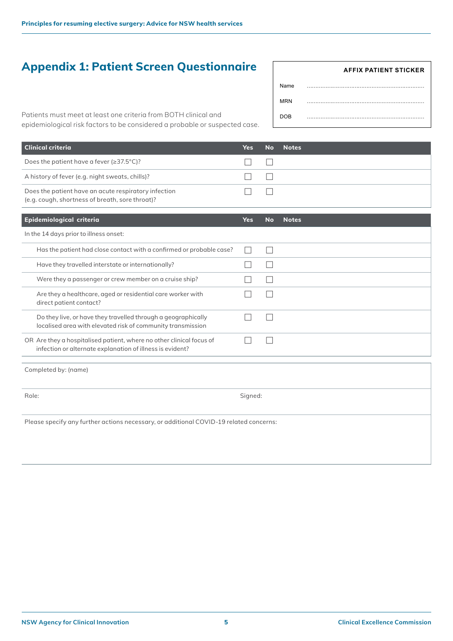# **Appendix 1: Patient Screen Questionnaire**

|            | AFFIX PATIENT STICKER |
|------------|-----------------------|
| Name       |                       |
| <b>MRN</b> |                       |
| <b>DOB</b> |                       |

Patients must meet at least one criteria from BOTH clinical and epidemiological risk factors to be considered a probable or suspected case.

| Clinical criteria                                                                                       | Yes. | No Notes |
|---------------------------------------------------------------------------------------------------------|------|----------|
| Does the patient have a fever $(\geq 37.5^{\circ}C)?$                                                   |      |          |
| A history of fever (e.g. night sweats, chills)?                                                         |      |          |
| Does the patient have an acute respiratory infection<br>(e.g. cough, shortness of breath, sore throat)? |      |          |

| Epidemiological criteria                                                                                                          |  | <b>No</b> | <b>Notes</b> |
|-----------------------------------------------------------------------------------------------------------------------------------|--|-----------|--------------|
| In the 14 days prior to illness onset:                                                                                            |  |           |              |
| Has the patient had close contact with a confirmed or probable case?                                                              |  |           |              |
| Have they travelled interstate or internationally?                                                                                |  |           |              |
| Were they a passenger or crew member on a cruise ship?                                                                            |  |           |              |
| Are they a healthcare, aged or residential care worker with<br>direct patient contact?                                            |  |           |              |
| Do they live, or have they travelled through a geographically<br>localised area with elevated risk of community transmission      |  |           |              |
| OR Are they a hospitalised patient, where no other clinical focus of<br>infection or alternate explanation of illness is evident? |  |           |              |
| Completed by: (name)                                                                                                              |  |           |              |

Role: Signed:

Please specify any further actions necessary, or additional COVID-19 related concerns: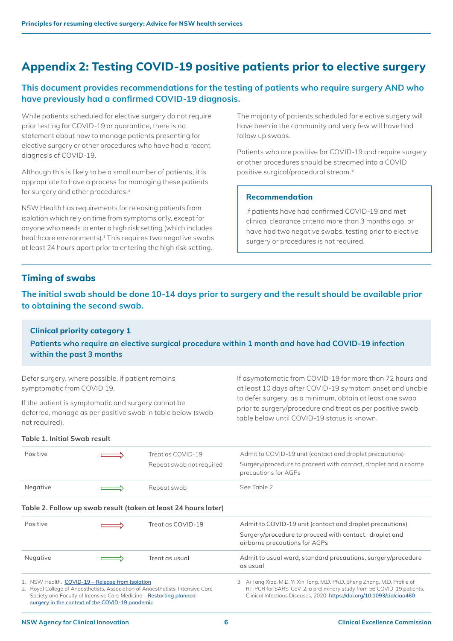# **Appendix 2: Testing COVID-19 positive patients prior to elective surgery**

# **This document provides recommendations for the testing of patients who require surgery AND who have previously had a confirmed COVID-19 diagnosis.**

While patients scheduled for elective surgery do not require prior testing for COVID-19 or quarantine, there is no statement about how to manage patients presenting for elective surgery or other procedures who have had a recent diagnosis of COVID-19.

Although this is likely to be a small number of patients, it is appropriate to have a process for managing these patients for surgery and other procedures.3

NSW Health has requirements for releasing patients from isolation which rely on time from symptoms only, except for anyone who needs to enter a high risk setting (which includes healthcare environments).<sup>1</sup> This requires two negative swabs at least 24 hours apart prior to entering the high risk setting.

The majority of patients scheduled for elective surgery will have been in the community and very few will have had follow up swabs.

Patients who are positive for COVID-19 and require surgery or other procedures should be streamed into a COVID positive surgical/procedural stream.<sup>2</sup>

### **Recommendation**

If patients have had confirmed COVID-19 and met clinical clearance criteria more than 3 months ago, or have had two negative swabs, testing prior to elective surgery or procedures is not required.

# **Timing of swabs**

**The initial swab should be done 10-14 days prior to surgery and the result should be available prior to obtaining the second swab.**

### **Clinical priority category 1**

**Patients who require an elective surgical procedure within 1 month and have had COVID-19 infection within the past 3 months**

Defer surgery, where possible, if patient remains symptomatic from COVID 19.

If the patient is symptomatic and surgery cannot be deferred, manage as per positive swab in table below (swab not required).

If asymptomatic from COVID-19 for more than 72 hours and at least 10 days after COVID-19 symptom onset and unable to defer surgery, as a minimum, obtain at least one swab prior to surgery/procedure and treat as per positive swab table below until COVID-19 status is known.

#### **Table 1. Initial Swab result**

| Positive | $\implies$ | Treat as COVID-19<br>Repeat swab not required | Admit to COVID-19 unit (contact and droplet precautions)<br>Surgery/procedure to proceed with contact, droplet and airborne<br>precautions for AGPs |
|----------|------------|-----------------------------------------------|-----------------------------------------------------------------------------------------------------------------------------------------------------|
| Negative | $\implies$ | Repeat swab                                   | See Table 2                                                                                                                                         |

#### **Table 2. Follow up swab result (taken at least 24 hours later)**

| Positive                                                                                                                                                                                                                                                      |  | Treat as COVID-19 | Admit to COVID-19 unit (contact and droplet precautions)<br>Surgery/procedure to proceed with contact, droplet and<br>airborne precautions for AGPs                                                                            |
|---------------------------------------------------------------------------------------------------------------------------------------------------------------------------------------------------------------------------------------------------------------|--|-------------------|--------------------------------------------------------------------------------------------------------------------------------------------------------------------------------------------------------------------------------|
| Negative                                                                                                                                                                                                                                                      |  | Treat as usual    | Admit to usual ward, standard precautions, surgery/procedure<br>as usual                                                                                                                                                       |
| 1. NSW Health. COVID-19 – Release from Isolation<br>2. Royal College of Anaesthetists, Association of Anaesthetists, Intensive Care<br>Society and Faculty of Intensive Care Medicine - Restarting planned<br>surgery in the context of the COVID-19 pandemic |  |                   | 3. Ai Tang Xiao, M.D, Yi Xin Tong, M.D, Ph.D, Sheng Zhang, M.D, Profile of<br>RT-PCR for SARS-CoV-2: a preliminary study from 56 COVID-19 patients,<br>Clinical Infectious Diseases, 2020. https://doi.org/10.1093/cid/ciaa460 |